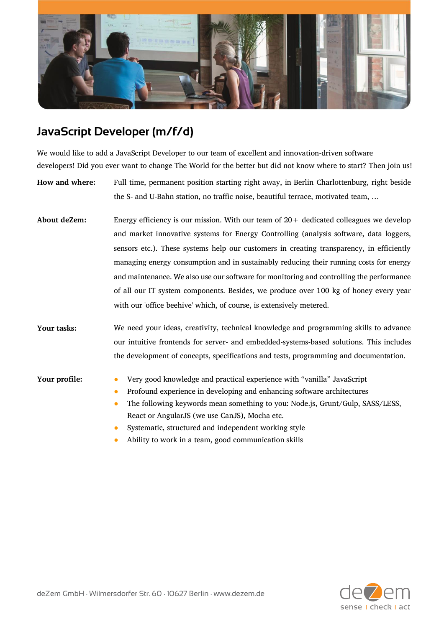

## **JavaScript Developer (m/f/d)**

We would like to add a JavaScript Developer to our team of excellent and innovation-driven software developers! Did you ever want to change The World for the better but did not know where to start? Then join us!

**How and where:** Full time, permanent position starting right away, in Berlin Charlottenburg, right beside the S- and U-Bahn station, no traffic noise, beautiful terrace, motivated team, …

**About deZem:** Energy efficiency is our mission. With our team of 20+ dedicated colleagues we develop and market innovative systems for Energy Controlling (analysis software, data loggers, sensors etc.). These systems help our customers in creating transparency, in efficiently managing energy consumption and in sustainably reducing their running costs for energy and maintenance. We also use our software for monitoring and controlling the performance of all our IT system components. Besides, we produce over 100 kg of honey every year with our 'office beehive' which, of course, is extensively metered.

**Your tasks:** We need your ideas, creativity, technical knowledge and programming skills to advance our intuitive frontends for server- and embedded-systems-based solutions. This includes the development of concepts, specifications and tests, programming and documentation.

- **Your profile:** Very good knowledge and practical experience with "vanilla" JavaScript
	- Profound experience in developing and enhancing software architectures
	- The following keywords mean something to you: Node.js, Grunt/Gulp, SASS/LESS, React or AngularJS (we use CanJS), Mocha etc.
	- Systematic, structured and independent working style
	- Ability to work in a team, good communication skills